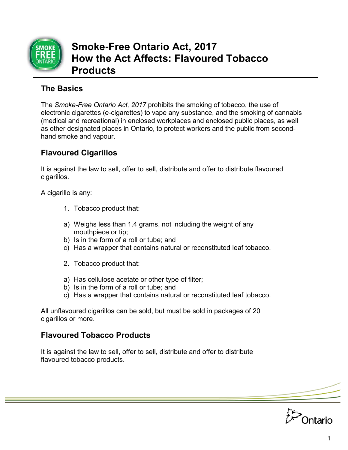

# **Smoke-Free Ontario Act, 2017 How the Act Affects: Flavoured Tobacco Products**

## **The Basics**

The *Smoke-Free Ontario Act, 2017* prohibits the smoking of tobacco, the use of electronic cigarettes (e-cigarettes) to vape any substance, and the smoking of cannabis (medical and recreational) in enclosed workplaces and enclosed public places, as well as other designated places in Ontario, to protect workers and the public from secondhand smoke and vapour.

## **Flavoured Cigarillos**

It is against the law to sell, offer to sell, distribute and offer to distribute flavoured cigarillos.

A cigarillo is any:

- 1. Tobacco product that:
- a) Weighs less than 1.4 grams, not including the weight of any mouthpiece or tip;
- b) Is in the form of a roll or tube; and
- c) Has a wrapper that contains natural or reconstituted leaf tobacco.
- 2. Tobacco product that:
- a) Has cellulose acetate or other type of filter;
- b) Is in the form of a roll or tube; and
- c) Has a wrapper that contains natural or reconstituted leaf tobacco.

All unflavoured cigarillos can be sold, but must be sold in packages of 20 cigarillos or more.

### **Flavoured Tobacco Products**

It is against the law to sell, offer to sell, distribute and offer to distribute flavoured tobacco products.

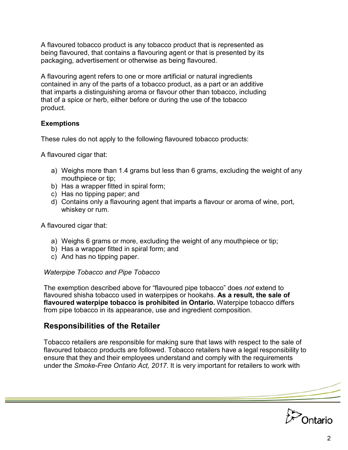A flavoured tobacco product is any tobacco product that is represented as being flavoured, that contains a flavouring agent or that is presented by its packaging, advertisement or otherwise as being flavoured.

A flavouring agent refers to one or more artificial or natural ingredients contained in any of the parts of a tobacco product, as a part or an additive that imparts a distinguishing aroma or flavour other than tobacco, including that of a spice or herb, either before or during the use of the tobacco product.

#### **Exemptions**

These rules do not apply to the following flavoured tobacco products:

A flavoured cigar that:

- a) Weighs more than 1.4 grams but less than 6 grams, excluding the weight of any mouthpiece or tip;
- b) Has a wrapper fitted in spiral form;
- c) Has no tipping paper; and
- d) Contains only a flavouring agent that imparts a flavour or aroma of wine, port, whiskey or rum.

A flavoured cigar that:

- a) Weighs 6 grams or more, excluding the weight of any mouthpiece or tip;
- b) Has a wrapper fitted in spiral form; and
- c) And has no tipping paper.

#### *Waterpipe Tobacco and Pipe Tobacco*

The exemption described above for "flavoured pipe tobacco" does *not* extend to flavoured shisha tobacco used in waterpipes or hookahs. **As a result, the sale of flavoured waterpipe tobacco is prohibited in Ontario.** Waterpipe tobacco differs from pipe tobacco in its appearance, use and ingredient composition.

#### **Responsibilities of the Retailer**

Tobacco retailers are responsible for making sure that laws with respect to the sale of flavoured tobacco products are followed. Tobacco retailers have a legal responsibility to ensure that they and their employees understand and comply with the requirements under the *Smoke-Free Ontario Act, 2017*. It is very important for retailers to work with